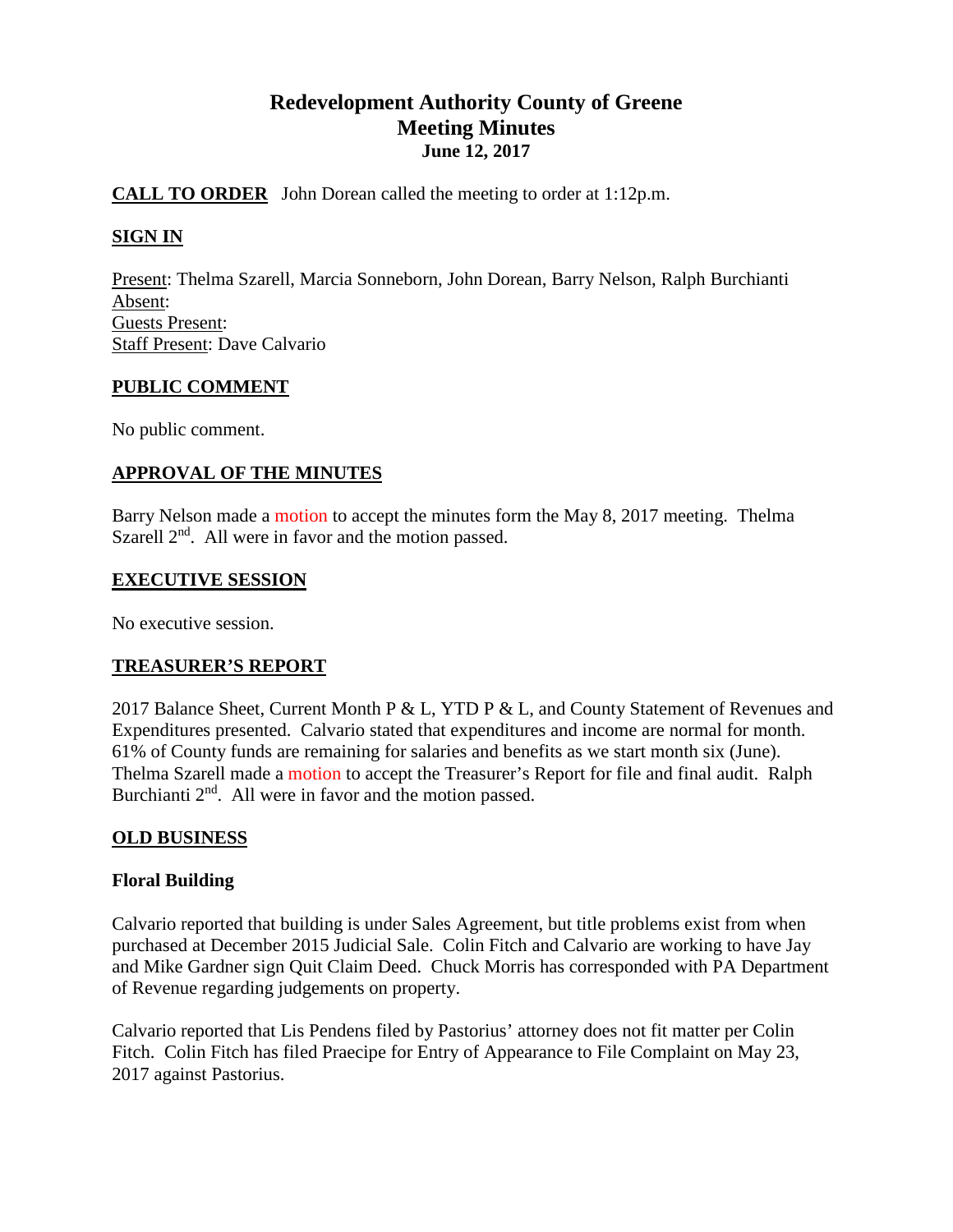# **Redevelopment Authority County of Greene Meeting Minutes June 12, 2017**

# **CALL TO ORDER** John Dorean called the meeting to order at 1:12p.m.

## **SIGN IN**

Present: Thelma Szarell, Marcia Sonneborn, John Dorean, Barry Nelson, Ralph Burchianti Absent: Guests Present: Staff Present: Dave Calvario

## **PUBLIC COMMENT**

No public comment.

## **APPROVAL OF THE MINUTES**

Barry Nelson made a motion to accept the minutes form the May 8, 2017 meeting. Thelma Szarell  $2<sup>nd</sup>$ . All were in favor and the motion passed.

#### **EXECUTIVE SESSION**

No executive session.

## **TREASURER'S REPORT**

2017 Balance Sheet, Current Month P & L, YTD P & L, and County Statement of Revenues and Expenditures presented. Calvario stated that expenditures and income are normal for month. 61% of County funds are remaining for salaries and benefits as we start month six (June). Thelma Szarell made a motion to accept the Treasurer's Report for file and final audit. Ralph Burchianti  $2<sup>nd</sup>$ . All were in favor and the motion passed.

## **OLD BUSINESS**

## **Floral Building**

Calvario reported that building is under Sales Agreement, but title problems exist from when purchased at December 2015 Judicial Sale. Colin Fitch and Calvario are working to have Jay and Mike Gardner sign Quit Claim Deed. Chuck Morris has corresponded with PA Department of Revenue regarding judgements on property.

Calvario reported that Lis Pendens filed by Pastorius' attorney does not fit matter per Colin Fitch. Colin Fitch has filed Praecipe for Entry of Appearance to File Complaint on May 23, 2017 against Pastorius.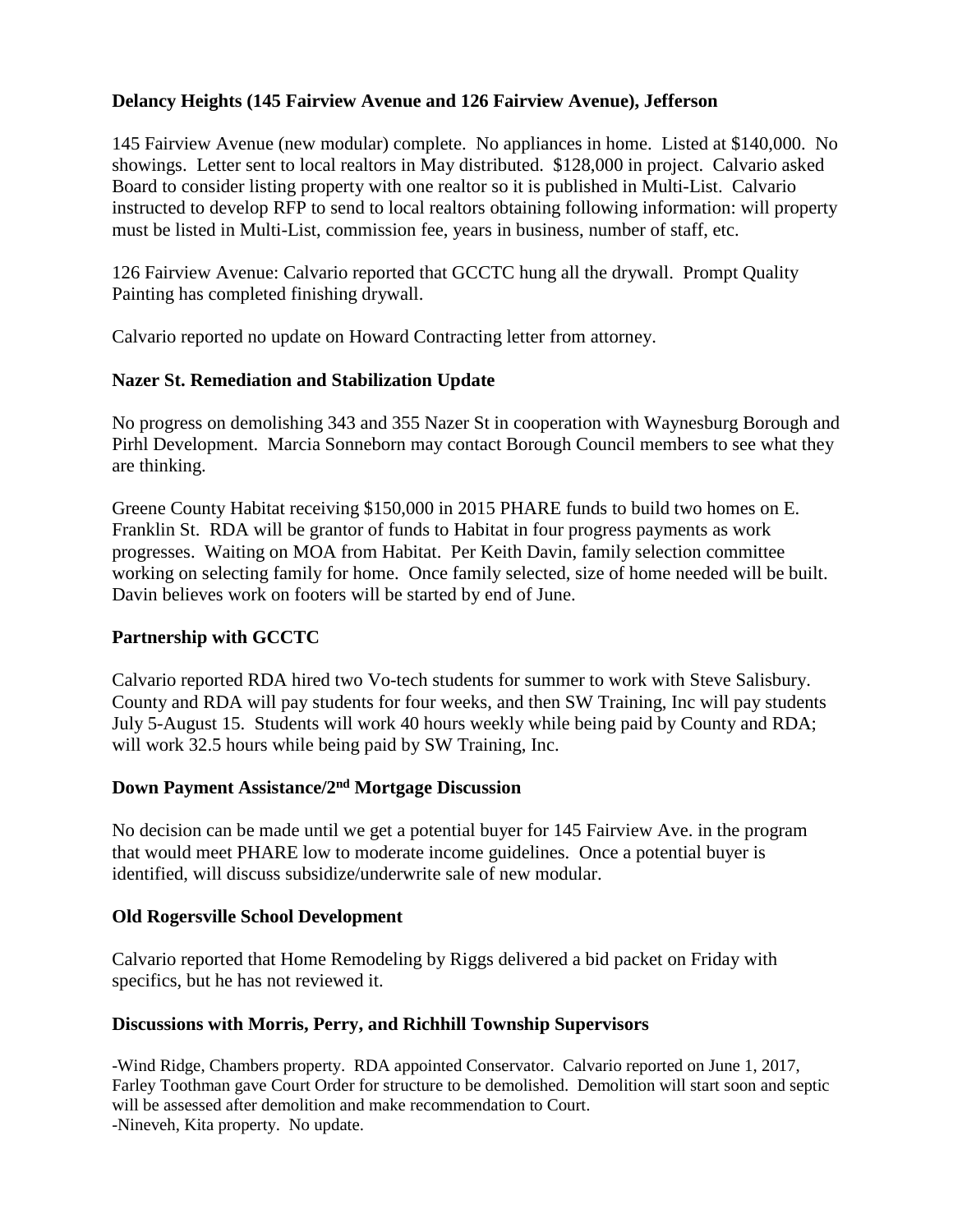# **Delancy Heights (145 Fairview Avenue and 126 Fairview Avenue), Jefferson**

145 Fairview Avenue (new modular) complete. No appliances in home. Listed at \$140,000. No showings. Letter sent to local realtors in May distributed. \$128,000 in project. Calvario asked Board to consider listing property with one realtor so it is published in Multi-List. Calvario instructed to develop RFP to send to local realtors obtaining following information: will property must be listed in Multi-List, commission fee, years in business, number of staff, etc.

126 Fairview Avenue: Calvario reported that GCCTC hung all the drywall. Prompt Quality Painting has completed finishing drywall.

Calvario reported no update on Howard Contracting letter from attorney.

## **Nazer St. Remediation and Stabilization Update**

No progress on demolishing 343 and 355 Nazer St in cooperation with Waynesburg Borough and Pirhl Development. Marcia Sonneborn may contact Borough Council members to see what they are thinking.

Greene County Habitat receiving \$150,000 in 2015 PHARE funds to build two homes on E. Franklin St. RDA will be grantor of funds to Habitat in four progress payments as work progresses. Waiting on MOA from Habitat. Per Keith Davin, family selection committee working on selecting family for home. Once family selected, size of home needed will be built. Davin believes work on footers will be started by end of June.

# **Partnership with GCCTC**

Calvario reported RDA hired two Vo-tech students for summer to work with Steve Salisbury. County and RDA will pay students for four weeks, and then SW Training, Inc will pay students July 5-August 15. Students will work 40 hours weekly while being paid by County and RDA; will work 32.5 hours while being paid by SW Training, Inc.

## **Down Payment Assistance/2nd Mortgage Discussion**

No decision can be made until we get a potential buyer for 145 Fairview Ave. in the program that would meet PHARE low to moderate income guidelines. Once a potential buyer is identified, will discuss subsidize/underwrite sale of new modular.

## **Old Rogersville School Development**

Calvario reported that Home Remodeling by Riggs delivered a bid packet on Friday with specifics, but he has not reviewed it.

## **Discussions with Morris, Perry, and Richhill Township Supervisors**

-Wind Ridge, Chambers property. RDA appointed Conservator. Calvario reported on June 1, 2017, Farley Toothman gave Court Order for structure to be demolished. Demolition will start soon and septic will be assessed after demolition and make recommendation to Court. -Nineveh, Kita property. No update.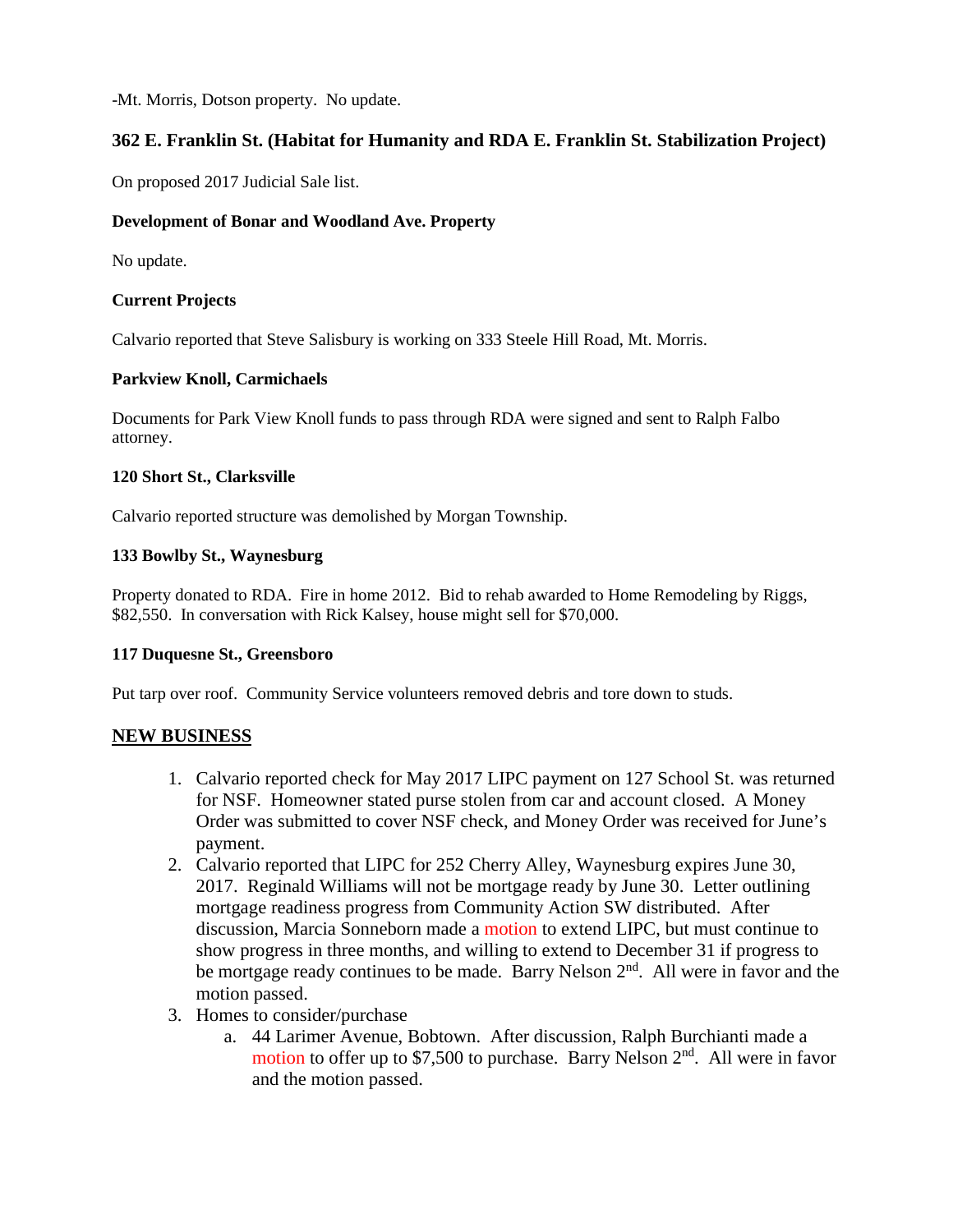-Mt. Morris, Dotson property. No update.

## **362 E. Franklin St. (Habitat for Humanity and RDA E. Franklin St. Stabilization Project)**

On proposed 2017 Judicial Sale list.

#### **Development of Bonar and Woodland Ave. Property**

No update.

#### **Current Projects**

Calvario reported that Steve Salisbury is working on 333 Steele Hill Road, Mt. Morris.

#### **Parkview Knoll, Carmichaels**

Documents for Park View Knoll funds to pass through RDA were signed and sent to Ralph Falbo attorney.

#### **120 Short St., Clarksville**

Calvario reported structure was demolished by Morgan Township.

#### **133 Bowlby St., Waynesburg**

Property donated to RDA. Fire in home 2012. Bid to rehab awarded to Home Remodeling by Riggs, \$82,550. In conversation with Rick Kalsey, house might sell for \$70,000.

## **117 Duquesne St., Greensboro**

Put tarp over roof. Community Service volunteers removed debris and tore down to studs.

## **NEW BUSINESS**

- 1. Calvario reported check for May 2017 LIPC payment on 127 School St. was returned for NSF. Homeowner stated purse stolen from car and account closed. A Money Order was submitted to cover NSF check, and Money Order was received for June's payment.
- 2. Calvario reported that LIPC for 252 Cherry Alley, Waynesburg expires June 30, 2017. Reginald Williams will not be mortgage ready by June 30. Letter outlining mortgage readiness progress from Community Action SW distributed. After discussion, Marcia Sonneborn made a motion to extend LIPC, but must continue to show progress in three months, and willing to extend to December 31 if progress to be mortgage ready continues to be made. Barry Nelson  $2<sup>nd</sup>$ . All were in favor and the motion passed.
- 3. Homes to consider/purchase
	- a. 44 Larimer Avenue, Bobtown. After discussion, Ralph Burchianti made a motion to offer up to  $$7,500$  to purchase. Barry Nelson  $2<sup>nd</sup>$ . All were in favor and the motion passed.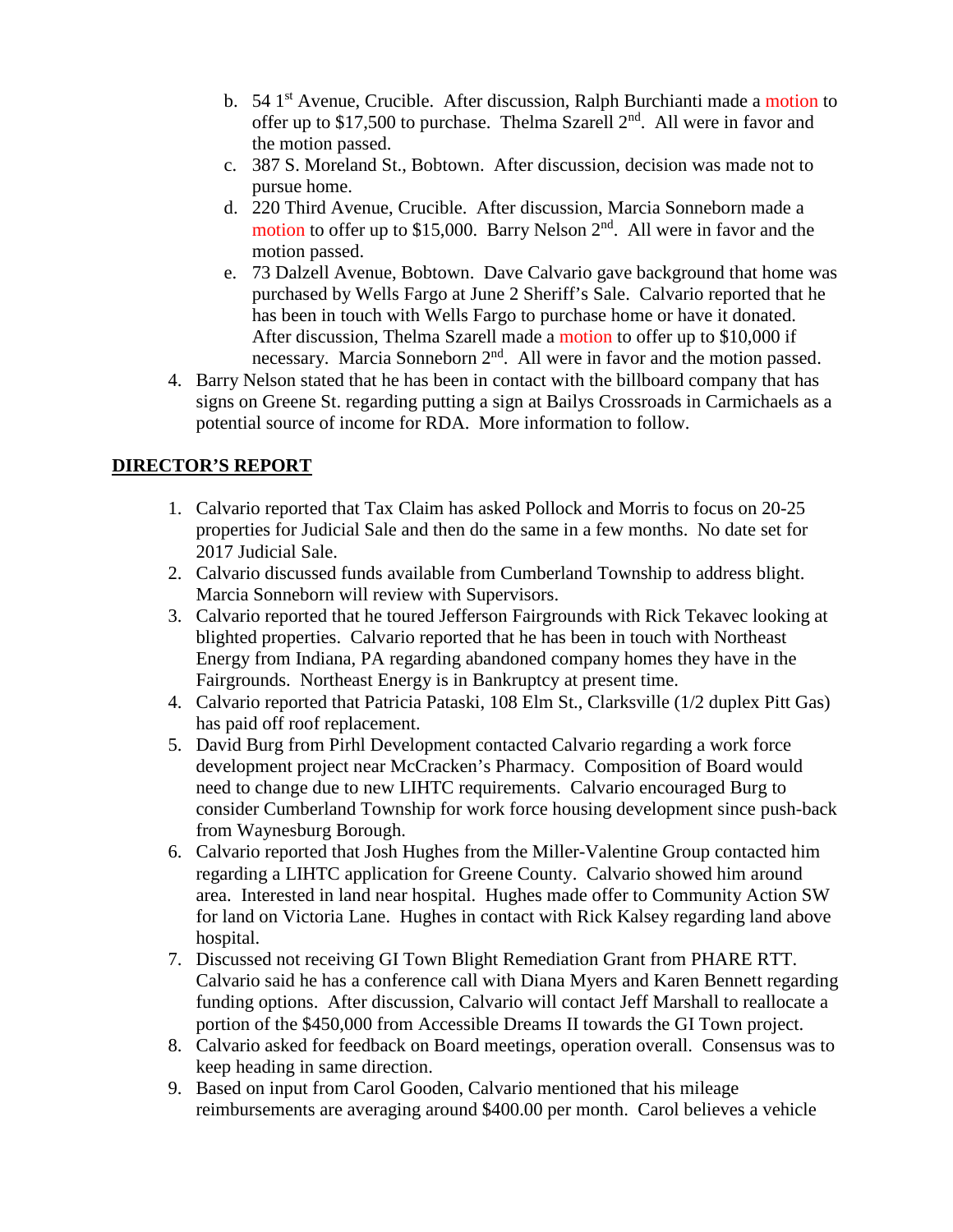- b. 54 1<sup>st</sup> Avenue, Crucible. After discussion, Ralph Burchianti made a motion to offer up to \$17,500 to purchase. Thelma Szarell  $2<sup>nd</sup>$ . All were in favor and the motion passed.
- c. 387 S. Moreland St., Bobtown. After discussion, decision was made not to pursue home.
- d. 220 Third Avenue, Crucible. After discussion, Marcia Sonneborn made a motion to offer up to \$15,000. Barry Nelson 2<sup>nd</sup>. All were in favor and the motion passed.
- e. 73 Dalzell Avenue, Bobtown. Dave Calvario gave background that home was purchased by Wells Fargo at June 2 Sheriff's Sale. Calvario reported that he has been in touch with Wells Fargo to purchase home or have it donated. After discussion, Thelma Szarell made a motion to offer up to \$10,000 if necessary. Marcia Sonneborn 2<sup>nd</sup>. All were in favor and the motion passed.
- 4. Barry Nelson stated that he has been in contact with the billboard company that has signs on Greene St. regarding putting a sign at Bailys Crossroads in Carmichaels as a potential source of income for RDA. More information to follow.

# **DIRECTOR'S REPORT**

- 1. Calvario reported that Tax Claim has asked Pollock and Morris to focus on 20-25 properties for Judicial Sale and then do the same in a few months. No date set for 2017 Judicial Sale.
- 2. Calvario discussed funds available from Cumberland Township to address blight. Marcia Sonneborn will review with Supervisors.
- 3. Calvario reported that he toured Jefferson Fairgrounds with Rick Tekavec looking at blighted properties. Calvario reported that he has been in touch with Northeast Energy from Indiana, PA regarding abandoned company homes they have in the Fairgrounds. Northeast Energy is in Bankruptcy at present time.
- 4. Calvario reported that Patricia Pataski, 108 Elm St., Clarksville (1/2 duplex Pitt Gas) has paid off roof replacement.
- 5. David Burg from Pirhl Development contacted Calvario regarding a work force development project near McCracken's Pharmacy. Composition of Board would need to change due to new LIHTC requirements. Calvario encouraged Burg to consider Cumberland Township for work force housing development since push-back from Waynesburg Borough.
- 6. Calvario reported that Josh Hughes from the Miller-Valentine Group contacted him regarding a LIHTC application for Greene County. Calvario showed him around area. Interested in land near hospital. Hughes made offer to Community Action SW for land on Victoria Lane. Hughes in contact with Rick Kalsey regarding land above hospital.
- 7. Discussed not receiving GI Town Blight Remediation Grant from PHARE RTT. Calvario said he has a conference call with Diana Myers and Karen Bennett regarding funding options. After discussion, Calvario will contact Jeff Marshall to reallocate a portion of the \$450,000 from Accessible Dreams II towards the GI Town project.
- 8. Calvario asked for feedback on Board meetings, operation overall. Consensus was to keep heading in same direction.
- 9. Based on input from Carol Gooden, Calvario mentioned that his mileage reimbursements are averaging around \$400.00 per month. Carol believes a vehicle